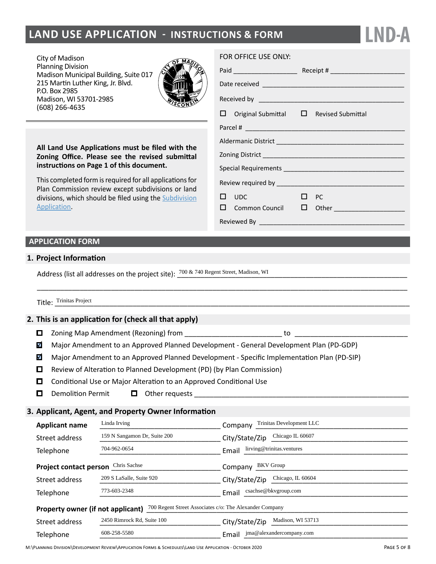# **LAND USE APPLICATION - INSTRUCTIONS & FORM**

City of Madison Planning Division Madison Municipal Building, Suite 017 215 Martin Luther King, Jr. Blvd. P.O. Box 2985 Madison, WI 53701-2985 (608) 266-4635



**All Land Use Applications must be filed with the Zoning Office. Please see the revised submittal instructions on Page 1 of this document.**

This completed form is required for all applications for Plan Commission review except subdivisions or land divisions, which should be filed using the [Subdivision](http://www.cityofmadison.com/development-services-center/documents/SubdivisionApplication.pdf) [Application.](http://www.cityofmadison.com/development-services-center/documents/SubdivisionApplication.pdf)

#### FOR OFFICE USE ONLY:

|  | $\Box$ Original Submittal $\Box$ Revised Submittal |           |                                           |  |
|--|----------------------------------------------------|-----------|-------------------------------------------|--|
|  |                                                    |           |                                           |  |
|  |                                                    |           |                                           |  |
|  |                                                    |           |                                           |  |
|  |                                                    |           |                                           |  |
|  |                                                    |           |                                           |  |
|  | $\square$ $\square$                                | $\Box$ PC |                                           |  |
|  |                                                    |           | $\Box$ Common Council $\Box$ Other $\Box$ |  |
|  |                                                    |           |                                           |  |

**LND-A**

## **APPLICATION FORM**

### **1. Project Information**

Address (list all addresses on the project site):  $\frac{700 \& 740 \text{ Regent Street, Madison, WI}}{}$ 

Title: <u>Trinitas Project</u>

### **2. This is an application for (check all that apply)**

- $\Box$  Zoning Map Amendment (Rezoning) from  $\Box$
- $\blacktriangledown$ Major Amendment to an Approved Planned Development - General Development Plan (PD-GDP)

\_\_\_\_\_\_\_\_\_\_\_\_\_\_\_\_\_\_\_\_\_\_\_\_\_\_\_\_\_\_\_\_\_\_\_\_\_\_\_\_\_\_\_\_\_\_\_\_\_\_\_\_\_\_\_\_\_\_\_\_\_\_\_\_\_\_\_\_\_\_\_\_\_\_\_\_\_\_\_\_\_\_\_\_\_\_\_\_\_\_\_\_\_\_\_

- $\blacktriangledown$ Major Amendment to an Approved Planned Development - Specific Implementation Plan (PD-SIP)
- Review of Alteration to Planned Development (PD) (by Plan Commission)
- $\Box$ Conditional Use or Major Alteration to an Approved Conditional Use
- $\mathbf{u}$ Demolition Permit  $\Box$  Other requests  $\Box$

# **3. Applicant, Agent, and Property Owner Information**

| <b>Applicant name</b>                                                                        | Linda Irving                 | Trinitas Development LLC<br>Company |  |  |  |  |
|----------------------------------------------------------------------------------------------|------------------------------|-------------------------------------|--|--|--|--|
| Street address                                                                               | 159 N Sangamon Dr, Suite 200 | Chicago IL 60607<br>City/State/Zip  |  |  |  |  |
| Telephone                                                                                    | 704-962-0654                 | lirving@trinitas.ventures<br>Email  |  |  |  |  |
| Chris Sachse<br><b>BKV</b> Group<br><b>Project contact person</b><br>Company                 |                              |                                     |  |  |  |  |
| Street address                                                                               | 209 S LaSalle, Suite 920     | Chicago, IL 60604<br>City/State/Zip |  |  |  |  |
| Telephone                                                                                    | 773-603-2348                 | csachse@bkvgroup.com<br>Email       |  |  |  |  |
| 700 Regent Street Associates c/o: The Alexander Company<br>Property owner (if not applicant) |                              |                                     |  |  |  |  |
| Street address                                                                               | 2450 Rimrock Rd, Suite 100   | Madison, WI 53713<br>City/State/Zip |  |  |  |  |
| Telephone                                                                                    | 608-258-5580                 | jma@alexandercompany.com<br>Email   |  |  |  |  |